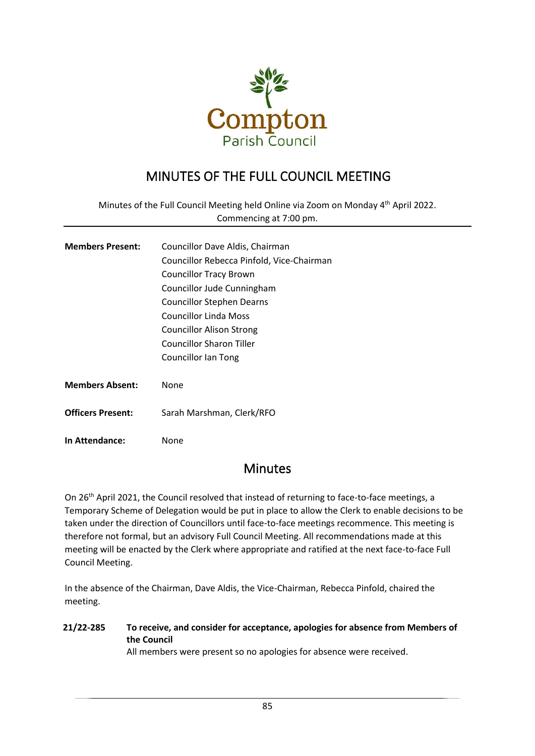

# MINUTES OF THE FULL COUNCIL MEETING

Minutes of the Full Council Meeting held Online via Zoom on Monday 4<sup>th</sup> April 2022. Commencing at 7:00 pm.

| <b>Members Present:</b>  | Councillor Dave Aldis, Chairman           |  |  |
|--------------------------|-------------------------------------------|--|--|
|                          | Councillor Rebecca Pinfold, Vice-Chairman |  |  |
|                          | <b>Councillor Tracy Brown</b>             |  |  |
|                          | Councillor Jude Cunningham                |  |  |
|                          | <b>Councillor Stephen Dearns</b>          |  |  |
|                          | Councillor Linda Moss                     |  |  |
|                          | <b>Councillor Alison Strong</b>           |  |  |
|                          | Councillor Sharon Tiller                  |  |  |
|                          | Councillor Ian Tong                       |  |  |
|                          |                                           |  |  |
| <b>Members Absent:</b>   | None                                      |  |  |
|                          |                                           |  |  |
| <b>Officers Present:</b> | Sarah Marshman, Clerk/RFO                 |  |  |
|                          |                                           |  |  |

**In Attendance:** None

## **Minutes**

On 26<sup>th</sup> April 2021, the Council resolved that instead of returning to face-to-face meetings, a Temporary Scheme of Delegation would be put in place to allow the Clerk to enable decisions to be taken under the direction of Councillors until face-to-face meetings recommence. This meeting is therefore not formal, but an advisory Full Council Meeting. All recommendations made at this meeting will be enacted by the Clerk where appropriate and ratified at the next face-to-face Full Council Meeting.

In the absence of the Chairman, Dave Aldis, the Vice-Chairman, Rebecca Pinfold, chaired the meeting.

## **21/22-285 To receive, and consider for acceptance, apologies for absence from Members of the Council**

All members were present so no apologies for absence were received.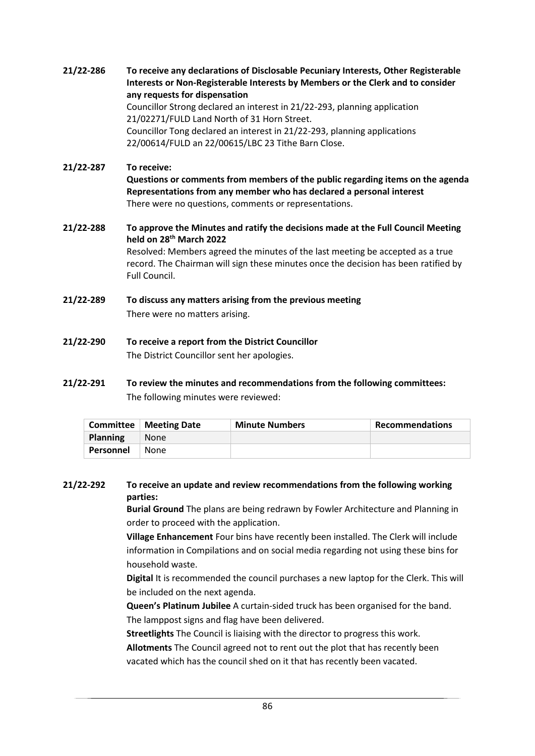**21/22-286 To receive any declarations of Disclosable Pecuniary Interests, Other Registerable Interests or Non-Registerable Interests by Members or the Clerk and to consider any requests for dispensation** Councillor Strong declared an interest in 21/22-293, planning application 21/02271/FULD Land North of 31 Horn Street. Councillor Tong declared an interest in 21/22-293, planning applications 22/00614/FULD an 22/00615/LBC 23 Tithe Barn Close.

## **21/22-287 To receive:**

**Questions or comments from members of the public regarding items on the agenda Representations from any member who has declared a personal interest** There were no questions, comments or representations.

### **21/22-288 To approve the Minutes and ratify the decisions made at the Full Council Meeting held on 28th March 2022** Resolved: Members agreed the minutes of the last meeting be accepted as a true record. The Chairman will sign these minutes once the decision has been ratified by Full Council.

- **21/22-289 To discuss any matters arising from the previous meeting** There were no matters arising.
- **21/22-290 To receive a report from the District Councillor** The District Councillor sent her apologies.
- **21/22-291 To review the minutes and recommendations from the following committees:** The following minutes were reviewed:

|                 | <b>Committee</b>   Meeting Date | <b>Minute Numbers</b> | Recommendations |
|-----------------|---------------------------------|-----------------------|-----------------|
| <b>Planning</b> | <b>None</b>                     |                       |                 |
| Personnel       | None                            |                       |                 |

## **21/22-292 To receive an update and review recommendations from the following working parties:**

**Burial Ground** The plans are being redrawn by Fowler Architecture and Planning in order to proceed with the application.

**Village Enhancement** Four bins have recently been installed. The Clerk will include information in Compilations and on social media regarding not using these bins for household waste.

**Digital** It is recommended the council purchases a new laptop for the Clerk. This will be included on the next agenda.

**Queen's Platinum Jubilee** A curtain-sided truck has been organised for the band. The lamppost signs and flag have been delivered.

**Streetlights** The Council is liaising with the director to progress this work.

**Allotments** The Council agreed not to rent out the plot that has recently been vacated which has the council shed on it that has recently been vacated.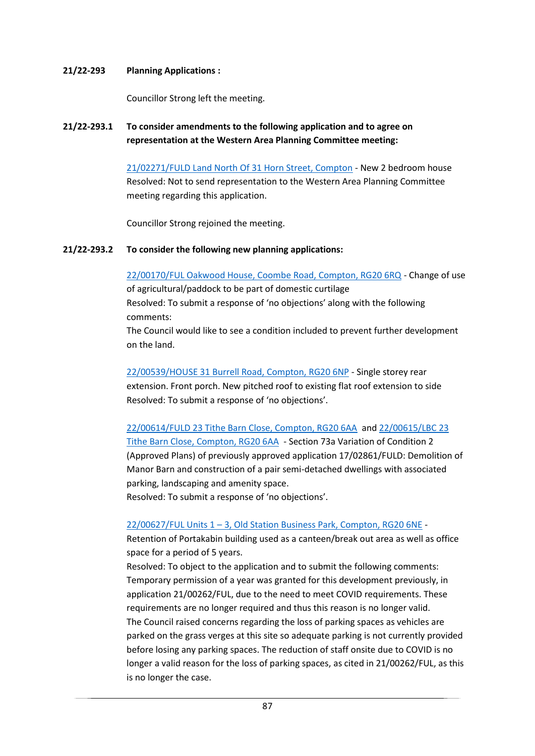### **21/22-293 Planning Applications :**

Councillor Strong left the meeting.

**21/22-293.1 To consider amendments to the following application and to agree on representation at the Western Area Planning Committee meeting:**

> [21/02271/FULD Land North Of 31 Horn Street, Compton](http://planning.westberks.gov.uk/rpp/index.asp?caseref=21/02271/FULD) - New 2 bedroom house Resolved: Not to send representation to the Western Area Planning Committee meeting regarding this application.

Councillor Strong rejoined the meeting.

## **21/22-293.2 To consider the following new planning applications:**

[22/00170/FUL Oakwood House, Coombe Road, Compton, RG20 6RQ](http://planning.westberks.gov.uk/rpp/index.asp?caseref=22/00170/FUL) - Change of use

of agricultural/paddock to be part of domestic curtilage Resolved: To submit a response of 'no objections' along with the following comments:

The Council would like to see a condition included to prevent further development on the land.

[22/00539/HOUSE 31 Burrell Road,](http://planning.westberks.gov.uk/rpp/index.asp?caseref=22/00539/HOUSE) Compton, RG20 6NP - Single storey rear extension. Front porch. New pitched roof to existing flat roof extension to side Resolved: To submit a response of 'no objections'.

[22/00614/FULD 23 Tithe Barn Close, Compton, RG20 6AA](http://planning.westberks.gov.uk/rpp/index.asp?caseref=22/00614/FULD) and [22/00615/LBC 23](http://planning.westberks.gov.uk/rpp/index.asp?caseref=22/00615/LBC)  [Tithe Barn Close, Compton, RG20 6AA](http://planning.westberks.gov.uk/rpp/index.asp?caseref=22/00615/LBC) - Section 73a Variation of Condition 2 (Approved Plans) of previously approved application 17/02861/FULD: Demolition of Manor Barn and construction of a pair semi-detached dwellings with associated parking, landscaping and amenity space. Resolved: To submit a response of 'no objections'.

## 22/00627/FUL Units 1 – [3, Old Station Business Park, Compton, RG20 6NE](http://planning.westberks.gov.uk/rpp/index.asp?caseref=22/00627/FUL) -

Retention of Portakabin building used as a canteen/break out area as well as office space for a period of 5 years.

Resolved: To object to the application and to submit the following comments: Temporary permission of a year was granted for this development previously, in application 21/00262/FUL, due to the need to meet COVID requirements. These requirements are no longer required and thus this reason is no longer valid. The Council raised concerns regarding the loss of parking spaces as vehicles are parked on the grass verges at this site so adequate parking is not currently provided before losing any parking spaces. The reduction of staff onsite due to COVID is no longer a valid reason for the loss of parking spaces, as cited in 21/00262/FUL, as this is no longer the case.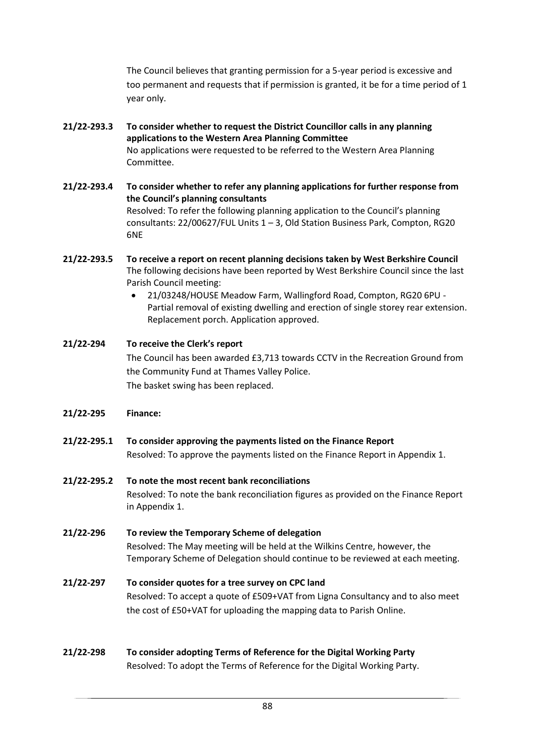The Council believes that granting permission for a 5-year period is excessive and too permanent and requests that if permission is granted, it be for a time period of 1 year only.

- **21/22-293.3 To consider whether to request the District Councillor calls in any planning applications to the Western Area Planning Committee** No applications were requested to be referred to the Western Area Planning Committee.
- **21/22-293.4 To consider whether to refer any planning applications for further response from the Council's planning consultants** Resolved: To refer the following planning application to the Council's planning consultants: 22/00627/FUL Units 1 – 3, Old Station Business Park, Compton, RG20 6NE
- **21/22-293.5 To receive a report on recent planning decisions taken by West Berkshire Council** The following decisions have been reported by West Berkshire Council since the last Parish Council meeting:
	- 21/03248/HOUSE Meadow Farm, Wallingford Road, Compton, RG20 6PU Partial removal of existing dwelling and erection of single storey rear extension. Replacement porch. Application approved.

**21/22-294 To receive the Clerk's report** The Council has been awarded £3,713 towards CCTV in the Recreation Ground from the Community Fund at Thames Valley Police. The basket swing has been replaced.

- **21/22-295 Finance:**
- **21/22-295.1 To consider approving the payments listed on the Finance Report** Resolved: To approve the payments listed on the Finance Report in Appendix 1.
- **21/22-295.2 To note the most recent bank reconciliations**  Resolved: To note the bank reconciliation figures as provided on the Finance Report in Appendix 1.
- **21/22-296 To review the Temporary Scheme of delegation** Resolved: The May meeting will be held at the Wilkins Centre, however, the Temporary Scheme of Delegation should continue to be reviewed at each meeting.

## **21/22-297 To consider quotes for a tree survey on CPC land** Resolved: To accept a quote of £509+VAT from Ligna Consultancy and to also meet the cost of £50+VAT for uploading the mapping data to Parish Online.

**21/22-298 To consider adopting Terms of Reference for the Digital Working Party** Resolved: To adopt the Terms of Reference for the Digital Working Party.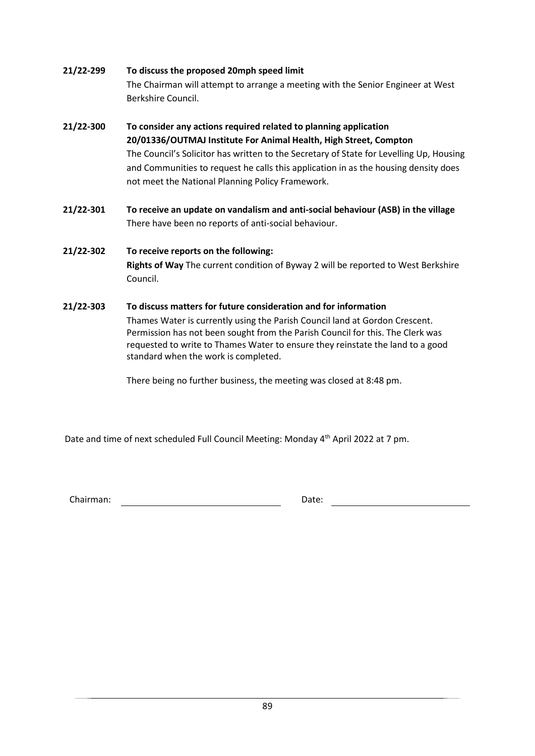## **21/22-299 To discuss the proposed 20mph speed limit**

The Chairman will attempt to arrange a meeting with the Senior Engineer at West Berkshire Council.

- **21/22-300 To consider any actions required related to planning application 20/01336/OUTMAJ Institute For Animal Health, High Street, Compton** The Council's Solicitor has written to the Secretary of State for Levelling Up, Housing and Communities to request he calls this application in as the housing density does not meet the National Planning Policy Framework.
- **21/22-301 To receive an update on vandalism and anti-social behaviour (ASB) in the village** There have been no reports of anti-social behaviour.

## **21/22-302 To receive reports on the following: Rights of Way** The current condition of Byway 2 will be reported to West Berkshire Council.

## **21/22-303 To discuss matters for future consideration and for information**

Thames Water is currently using the Parish Council land at Gordon Crescent. Permission has not been sought from the Parish Council for this. The Clerk was requested to write to Thames Water to ensure they reinstate the land to a good standard when the work is completed.

There being no further business, the meeting was closed at 8:48 pm.

Date and time of next scheduled Full Council Meeting: Monday 4<sup>th</sup> April 2022 at 7 pm.

Chairman: Date: